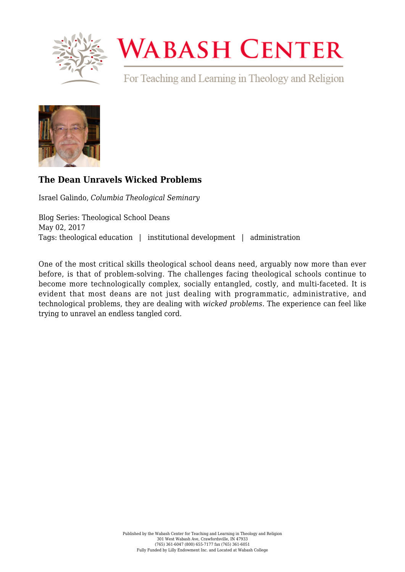

## **WABASH CENTER**

For Teaching and Learning in Theology and Religion



## **[The Dean Unravels Wicked Problems](https://www.wabashcenter.wabash.edu/2017/05/the-dean-unravels-wicked-problems/)**

Israel Galindo, *Columbia Theological Seminary*

Blog Series: Theological School Deans May 02, 2017 Tags: theological education | institutional development | administration

One of the most critical skills theological school deans need, arguably now more than ever before, is that of problem-solving. The challenges facing theological schools continue to become more technologically complex, socially entangled, costly, and multi-faceted. It is evident that most deans are not just dealing with programmatic, administrative, and technological problems, they are dealing with *wicked problems.* The experience can feel like trying to unravel an endless tangled cord.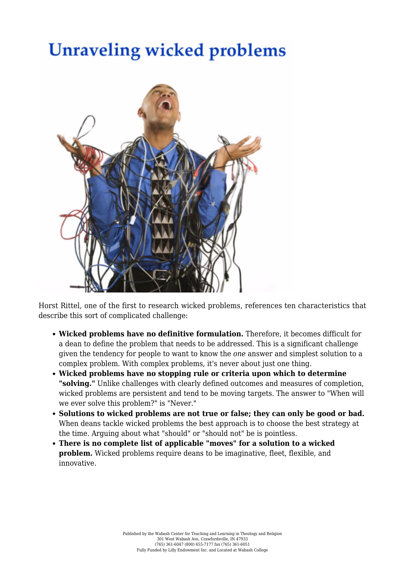## **Unraveling wicked problems**



[Horst Rittel,](https://www.amazon.com/Universe-Design-Rittels-Theories-Planning/dp/0415779898) one of the first to research wicked problems, references ten characteristics that describe this sort of complicated challenge:

- **Wicked problems have no definitive formulation.** Therefore, it becomes difficult for a dean to define the problem that needs to be addressed. This is a significant challenge given the tendency for people to want to know the *one* answer and simplest solution to a complex problem. With complex problems, it's never about just one thing.
- **Wicked problems have no stopping rule or criteria upon which to determine "solving."** Unlike challenges with clearly defined outcomes and measures of completion, wicked problems are persistent and tend to be moving targets. The answer to "When will we ever solve this problem?" is "Never."
- **Solutions to wicked problems are not true or false; they can only be good or bad.** When deans tackle wicked problems the best approach is to choose the best strategy at the time. Arguing about what "should" or "should not" be is pointless.
- **There is no complete list of applicable "moves" for a solution to a wicked problem.** Wicked problems require deans to be imaginative, fleet, flexible, and innovative.